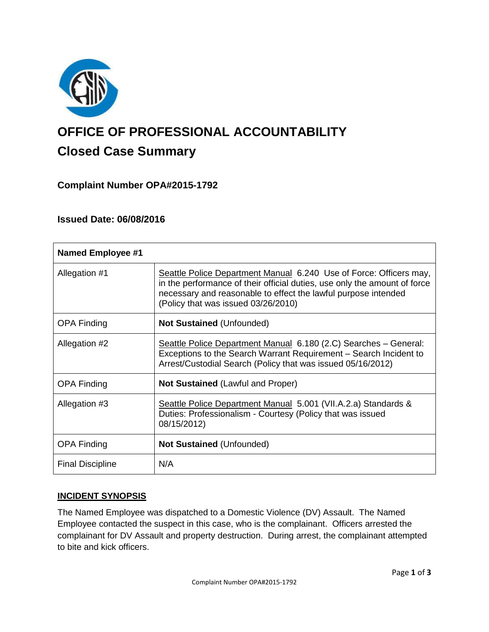

# **OFFICE OF PROFESSIONAL ACCOUNTABILITY Closed Case Summary**

## **Complaint Number OPA#2015-1792**

## **Issued Date: 06/08/2016**

| <b>Named Employee #1</b> |                                                                                                                                                                                                                                                          |
|--------------------------|----------------------------------------------------------------------------------------------------------------------------------------------------------------------------------------------------------------------------------------------------------|
| Allegation #1            | Seattle Police Department Manual 6.240 Use of Force: Officers may,<br>in the performance of their official duties, use only the amount of force<br>necessary and reasonable to effect the lawful purpose intended<br>(Policy that was issued 03/26/2010) |
| <b>OPA Finding</b>       | <b>Not Sustained (Unfounded)</b>                                                                                                                                                                                                                         |
| Allegation #2            | Seattle Police Department Manual 6.180 (2.C) Searches - General:<br>Exceptions to the Search Warrant Requirement – Search Incident to<br>Arrest/Custodial Search (Policy that was issued 05/16/2012)                                                     |
| <b>OPA Finding</b>       | <b>Not Sustained (Lawful and Proper)</b>                                                                                                                                                                                                                 |
| Allegation #3            | Seattle Police Department Manual 5.001 (VII.A.2.a) Standards &<br>Duties: Professionalism - Courtesy (Policy that was issued<br>08/15/2012)                                                                                                              |
| <b>OPA Finding</b>       | <b>Not Sustained (Unfounded)</b>                                                                                                                                                                                                                         |
| <b>Final Discipline</b>  | N/A                                                                                                                                                                                                                                                      |

#### **INCIDENT SYNOPSIS**

The Named Employee was dispatched to a Domestic Violence (DV) Assault. The Named Employee contacted the suspect in this case, who is the complainant. Officers arrested the complainant for DV Assault and property destruction. During arrest, the complainant attempted to bite and kick officers.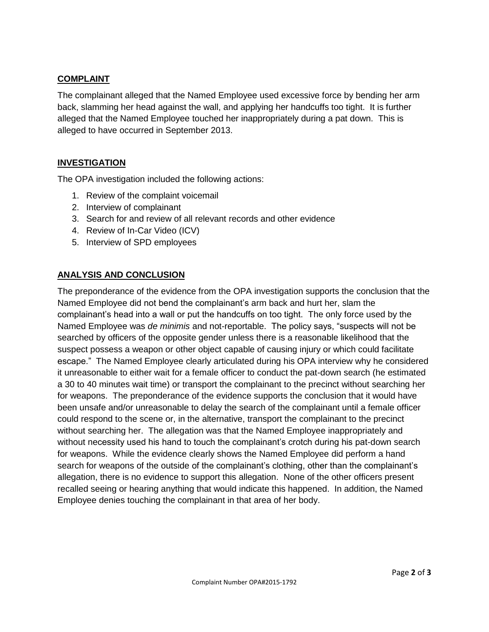#### **COMPLAINT**

The complainant alleged that the Named Employee used excessive force by bending her arm back, slamming her head against the wall, and applying her handcuffs too tight. It is further alleged that the Named Employee touched her inappropriately during a pat down. This is alleged to have occurred in September 2013.

## **INVESTIGATION**

The OPA investigation included the following actions:

- 1. Review of the complaint voicemail
- 2. Interview of complainant
- 3. Search for and review of all relevant records and other evidence
- 4. Review of In-Car Video (ICV)
- 5. Interview of SPD employees

## **ANALYSIS AND CONCLUSION**

The preponderance of the evidence from the OPA investigation supports the conclusion that the Named Employee did not bend the complainant's arm back and hurt her, slam the complainant's head into a wall or put the handcuffs on too tight. The only force used by the Named Employee was *de minimis* and not-reportable. The policy says, "suspects will not be searched by officers of the opposite gender unless there is a reasonable likelihood that the suspect possess a weapon or other object capable of causing injury or which could facilitate escape." The Named Employee clearly articulated during his OPA interview why he considered it unreasonable to either wait for a female officer to conduct the pat-down search (he estimated a 30 to 40 minutes wait time) or transport the complainant to the precinct without searching her for weapons. The preponderance of the evidence supports the conclusion that it would have been unsafe and/or unreasonable to delay the search of the complainant until a female officer could respond to the scene or, in the alternative, transport the complainant to the precinct without searching her. The allegation was that the Named Employee inappropriately and without necessity used his hand to touch the complainant's crotch during his pat-down search for weapons. While the evidence clearly shows the Named Employee did perform a hand search for weapons of the outside of the complainant's clothing, other than the complainant's allegation, there is no evidence to support this allegation. None of the other officers present recalled seeing or hearing anything that would indicate this happened. In addition, the Named Employee denies touching the complainant in that area of her body.